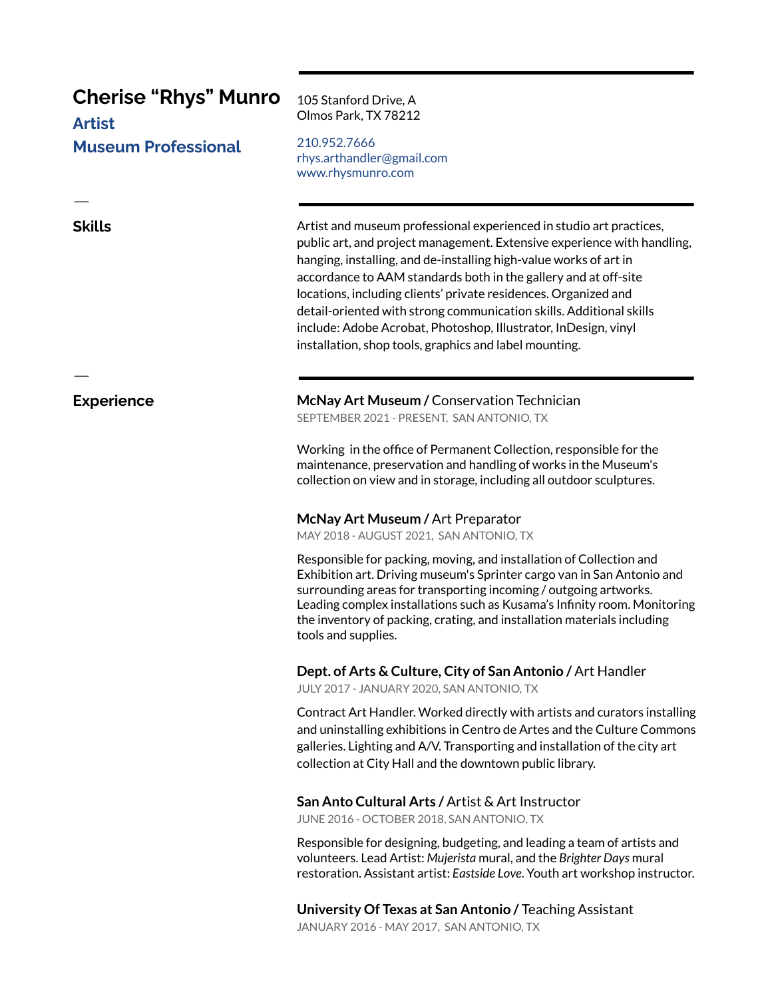# **Cherise "Rhys" Munro**

**Artist Museum Professional** 

## **Skills**

105 Stanford Drive, A Olmos Park, TX 78212

210.952.7666 rhys.arthandler@gmail.com www.rhysmunro.com

Artist and museum professional experienced in studio art practices, public art, and project management. Extensive experience with handling, hanging, installing, and de-installing high-value works of art in accordance to AAM standards both in the gallery and at off-site locations, including clients' private residences. Organized and detail-oriented with strong communication skills. Additional skills include: Adobe Acrobat, Photoshop, Illustrator, InDesign, vinyl installation, shop tools, graphics and label mounting.

### **Experience**

McNay Art Museum / Conservation Technician

SEPTEMBER 2021 - PRESENT, SAN ANTONIO, TX

Working in the office of Permanent Collection, responsible for the maintenance, preservation and handling of works in the Museum's collection on view and in storage, including all outdoor sculptures.

#### McNay Art Museum / Art Preparator

MAY 2018 - AUGUST 2021, SAN ANTONIO, TX

Responsible for packing, moving, and installation of Collection and Exhibition art. Driving museum's Sprinter cargo van in San Antonio and surrounding areas for transporting incoming / outgoing artworks. Leading complex installations such as Kusama's Infinity room. Monitoring the inventory of packing, crating, and installation materials including tools and supplies.

### Dept. of Arts & Culture, City of San Antonio / Art Handler

JULY 2017 - JANUARY 2020, SAN ANTONIO, TX

Contract Art Handler. Worked directly with artists and curators installing and uninstalling exhibitions in Centro de Artes and the Culture Commons galleries. Lighting and A/V. Transporting and installation of the city art collection at City Hall and the downtown public library.

#### San Anto Cultural Arts / Artist & Art Instructor

JUNE 2016 - OCTOBER 2018, SAN ANTONIO, TX

Responsible for designing, budgeting, and leading a team of artists and volunteers. Lead Artist: Mujerista mural, and the Brighter Days mural restoration. Assistant artist: Eastside Love. Youth art workshop instructor.

University Of Texas at San Antonio / Teaching Assistant JANUARY 2016 - MAY 2017, SAN ANTONIO, TX